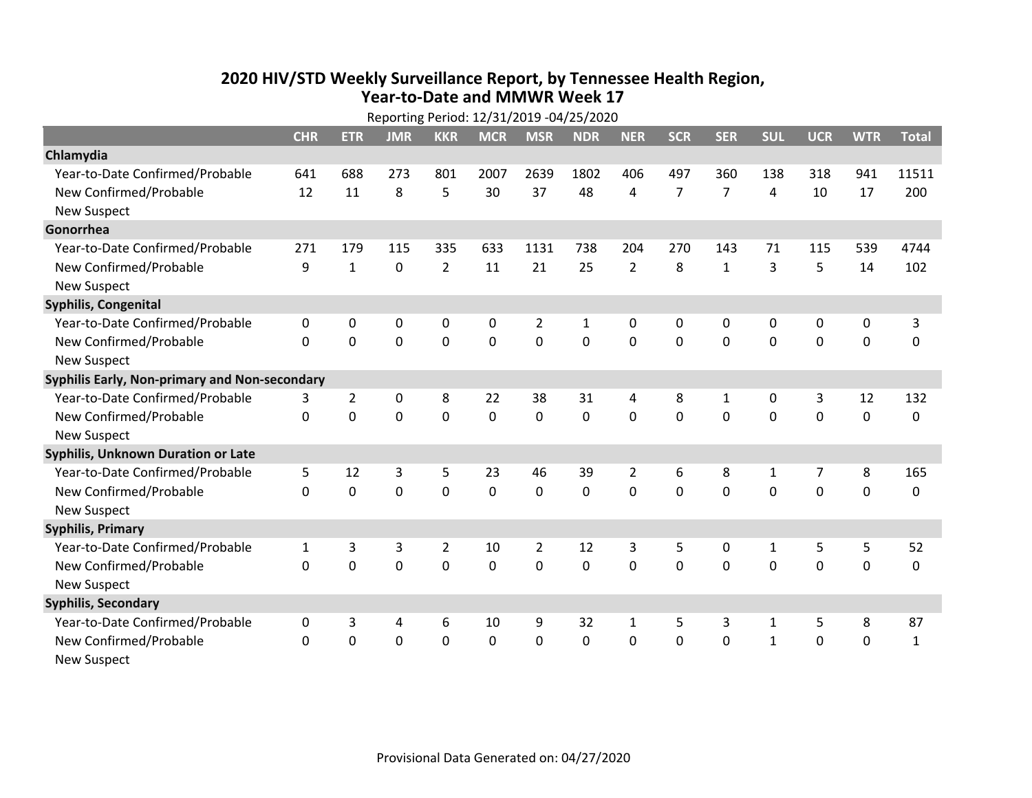## **2020 HIV /STD Weekly Surveillance Report, by Tennessee Health Region, Year‐to‐Date and MMWR Week 17** Reporting Period: 12/31/2019 ‐04/25/2020

| Reporting Period: 12/31/2019 -04/25/2020      |              |                |             |                |             |                |              |                |                |                |              |             |             |              |
|-----------------------------------------------|--------------|----------------|-------------|----------------|-------------|----------------|--------------|----------------|----------------|----------------|--------------|-------------|-------------|--------------|
|                                               | <b>CHR</b>   | <b>ETR</b>     | <b>JMR</b>  | <b>KKR</b>     | <b>MCR</b>  | <b>MSR</b>     | <b>NDR</b>   | <b>NER</b>     | <b>SCR</b>     | <b>SER</b>     | <b>SUL</b>   | <b>UCR</b>  | <b>WTR</b>  | <b>Total</b> |
| Chlamydia                                     |              |                |             |                |             |                |              |                |                |                |              |             |             |              |
| Year-to-Date Confirmed/Probable               | 641          | 688            | 273         | 801            | 2007        | 2639           | 1802         | 406            | 497            | 360            | 138          | 318         | 941         | 11511        |
| New Confirmed/Probable                        | 12           | 11             | 8           | 5              | 30          | 37             | 48           | 4              | $\overline{7}$ | $\overline{7}$ | 4            | 10          | 17          | 200          |
| <b>New Suspect</b>                            |              |                |             |                |             |                |              |                |                |                |              |             |             |              |
| Gonorrhea                                     |              |                |             |                |             |                |              |                |                |                |              |             |             |              |
| Year-to-Date Confirmed/Probable               | 271          | 179            | 115         | 335            | 633         | 1131           | 738          | 204            | 270            | 143            | 71           | 115         | 539         | 4744         |
| New Confirmed/Probable                        | 9            | $\mathbf{1}$   | $\mathbf 0$ | $\overline{2}$ | 11          | 21             | 25           | $\overline{2}$ | 8              | $\mathbf{1}$   | 3            | 5           | 14          | 102          |
| <b>New Suspect</b>                            |              |                |             |                |             |                |              |                |                |                |              |             |             |              |
| <b>Syphilis, Congenital</b>                   |              |                |             |                |             |                |              |                |                |                |              |             |             |              |
| Year-to-Date Confirmed/Probable               | 0            | 0              | $\mathbf 0$ | 0              | $\mathbf 0$ | $\overline{2}$ | $\mathbf{1}$ | 0              | 0              | 0              | 0            | 0           | 0           | 3            |
| New Confirmed/Probable                        | $\mathbf{0}$ | $\mathbf 0$    | 0           | 0              | $\mathbf 0$ | $\mathbf 0$    | 0            | $\mathbf 0$    | $\mathbf 0$    | 0              | 0            | 0           | $\mathbf 0$ | 0            |
| <b>New Suspect</b>                            |              |                |             |                |             |                |              |                |                |                |              |             |             |              |
| Syphilis Early, Non-primary and Non-secondary |              |                |             |                |             |                |              |                |                |                |              |             |             |              |
| Year-to-Date Confirmed/Probable               | 3            | $\overline{2}$ | $\mathbf 0$ | 8              | 22          | 38             | 31           | 4              | 8              | 1              | 0            | 3           | 12          | 132          |
| New Confirmed/Probable                        | $\Omega$     | 0              | $\Omega$    | 0              | $\mathbf 0$ | $\Omega$       | $\Omega$     | $\Omega$       | $\Omega$       | $\Omega$       | $\Omega$     | $\Omega$    | $\mathbf 0$ | 0            |
| <b>New Suspect</b>                            |              |                |             |                |             |                |              |                |                |                |              |             |             |              |
| Syphilis, Unknown Duration or Late            |              |                |             |                |             |                |              |                |                |                |              |             |             |              |
| Year-to-Date Confirmed/Probable               | 5            | 12             | 3           | 5              | 23          | 46             | 39           | $\overline{2}$ | 6              | 8              | 1            | 7           | 8           | 165          |
| New Confirmed/Probable                        | $\Omega$     | $\mathbf 0$    | 0           | 0              | $\mathbf 0$ | 0              | $\Omega$     | $\Omega$       | $\Omega$       | $\Omega$       | $\Omega$     | $\mathbf 0$ | $\mathbf 0$ | 0            |
| <b>New Suspect</b>                            |              |                |             |                |             |                |              |                |                |                |              |             |             |              |
| <b>Syphilis, Primary</b>                      |              |                |             |                |             |                |              |                |                |                |              |             |             |              |
| Year-to-Date Confirmed/Probable               | $\mathbf{1}$ | 3              | 3           | $\overline{2}$ | 10          | $\overline{2}$ | 12           | 3              | 5              | 0              | $\mathbf{1}$ | 5           | 5           | 52           |
| New Confirmed/Probable                        | $\Omega$     | 0              | 0           | 0              | $\mathbf 0$ | 0              | 0            | $\Omega$       | $\Omega$       | $\Omega$       | 0            | $\Omega$    | $\mathbf 0$ | 0            |
| <b>New Suspect</b>                            |              |                |             |                |             |                |              |                |                |                |              |             |             |              |
| <b>Syphilis, Secondary</b>                    |              |                |             |                |             |                |              |                |                |                |              |             |             |              |
| Year-to-Date Confirmed/Probable               | 0            | 3              | 4           | 6              | 10          | 9              | 32           | $\mathbf{1}$   | 5              | 3              | 1            | 5           | 8           | 87           |
| New Confirmed/Probable                        | 0            | 0              | 0           | 0              | $\mathbf 0$ | 0              | 0            | $\mathbf 0$    | 0              | 0              | $\mathbf{1}$ | 0           | $\mathbf 0$ | $\mathbf{1}$ |
| <b>New Suspect</b>                            |              |                |             |                |             |                |              |                |                |                |              |             |             |              |